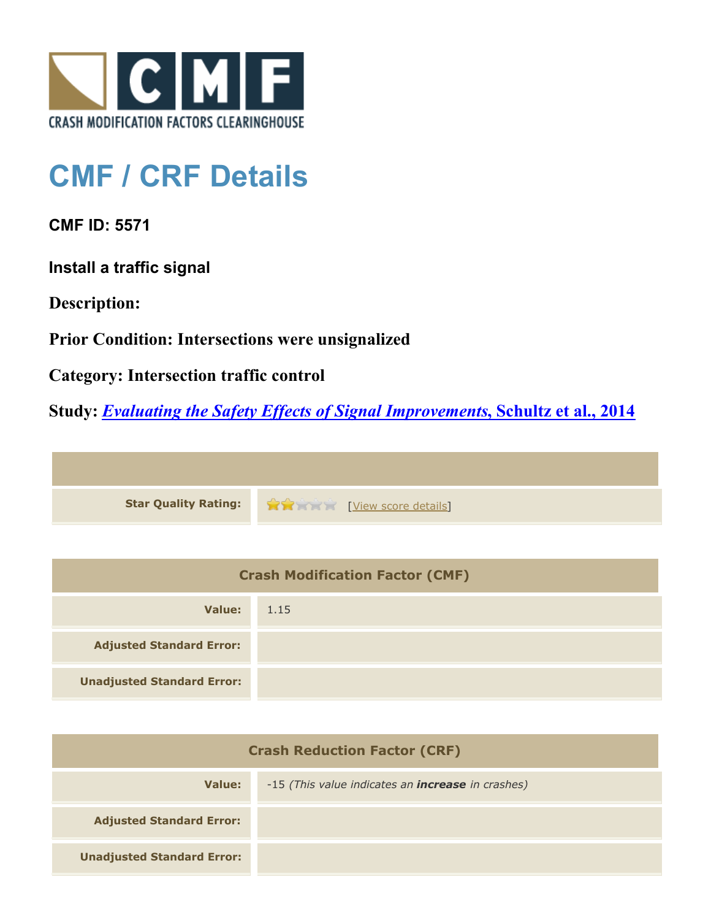

## **CMF / CRF Details**

**CMF ID: 5571**

**Install a traffic signal**

**Description:** 

**Prior Condition: Intersections were unsignalized**

**Category: Intersection traffic control**

**Study:** *[Evaluating the Safety Effects of Signal Improvements](http://www.cmfclearinghouse.org/study_detail.cfm?stid=364)***[, Schultz et al., 2014](http://www.cmfclearinghouse.org/study_detail.cfm?stid=364)**



| <b>Crash Modification Factor (CMF)</b> |      |  |
|----------------------------------------|------|--|
| Value:                                 | 1.15 |  |
| <b>Adjusted Standard Error:</b>        |      |  |
| <b>Unadjusted Standard Error:</b>      |      |  |

| <b>Crash Reduction Factor (CRF)</b> |                                                          |
|-------------------------------------|----------------------------------------------------------|
| Value:                              | -15 (This value indicates an <b>increase</b> in crashes) |
| <b>Adjusted Standard Error:</b>     |                                                          |
| <b>Unadjusted Standard Error:</b>   |                                                          |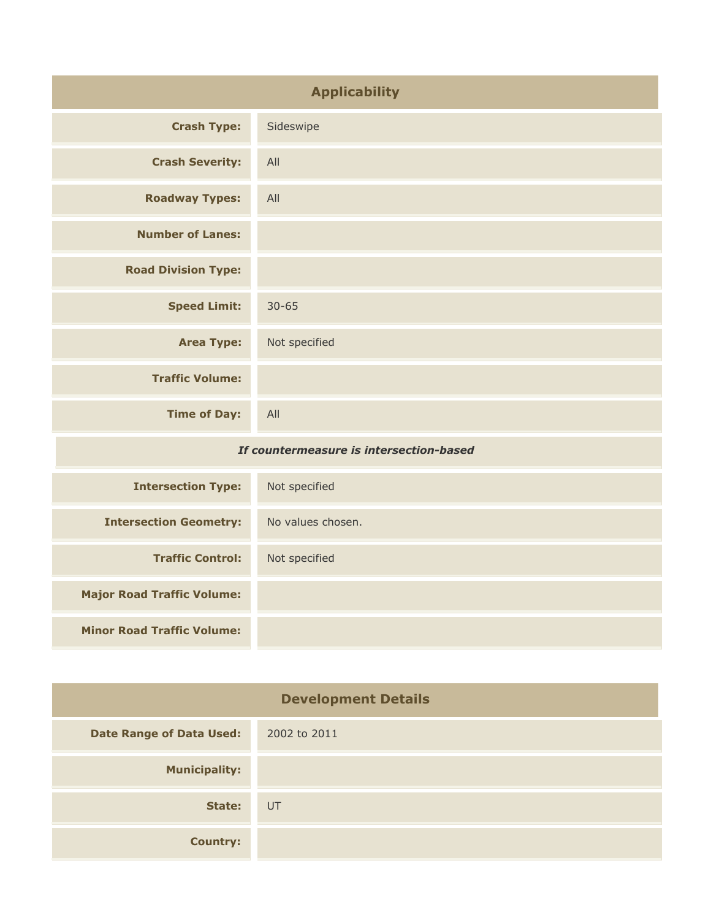| <b>Applicability</b>                    |                   |
|-----------------------------------------|-------------------|
| <b>Crash Type:</b>                      | Sideswipe         |
| <b>Crash Severity:</b>                  | All               |
| <b>Roadway Types:</b>                   | All               |
| <b>Number of Lanes:</b>                 |                   |
| <b>Road Division Type:</b>              |                   |
| <b>Speed Limit:</b>                     | $30 - 65$         |
| <b>Area Type:</b>                       | Not specified     |
| <b>Traffic Volume:</b>                  |                   |
| <b>Time of Day:</b>                     | All               |
| If countermeasure is intersection-based |                   |
| <b>Intersection Type:</b>               | Not specified     |
| <b>Intersection Geometry:</b>           | No values chosen. |
| <b>Traffic Control:</b>                 | Not specified     |
| <b>Major Road Traffic Volume:</b>       |                   |

**Minor Road Traffic Volume:**

| <b>Development Details</b>      |              |
|---------------------------------|--------------|
| <b>Date Range of Data Used:</b> | 2002 to 2011 |
| <b>Municipality:</b>            |              |
| State:                          | UT           |
| <b>Country:</b>                 |              |